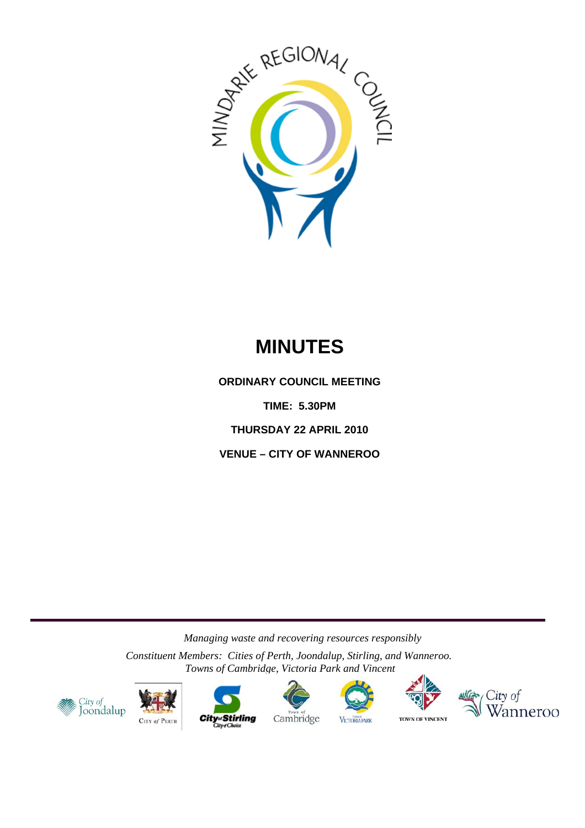

# **MINUTES**

**ORDINARY COUNCIL MEETING** 

**TIME: 5.30PM** 

**THURSDAY 22 APRIL 2010** 

**VENUE – CITY OF WANNEROO** 

*Managing waste and recovering resources responsibly* 

*Constituent Members: Cities of Perth, Joondalup, Stirling, and Wanneroo. Towns of Cambridge, Victoria Park and Vincent*















**TOWN OF VINCENT**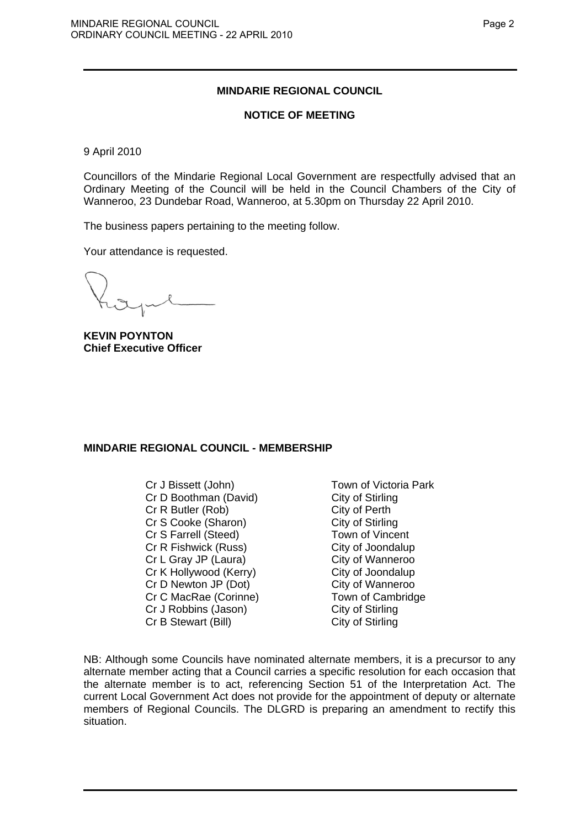# **MINDARIE REGIONAL COUNCIL**

## **NOTICE OF MEETING**

9 April 2010

Councillors of the Mindarie Regional Local Government are respectfully advised that an Ordinary Meeting of the Council will be held in the Council Chambers of the City of Wanneroo, 23 Dundebar Road, Wanneroo, at 5.30pm on Thursday 22 April 2010.

The business papers pertaining to the meeting follow.

Your attendance is requested.

**KEVIN POYNTON Chief Executive Officer** 

# **MINDARIE REGIONAL COUNCIL - MEMBERSHIP**

Cr J Bissett (John) Town of Victoria Park Cr D Boothman (David) City of Stirling Cr R Butler (Rob) City of Perth Cr S Cooke (Sharon) City of Stirling Cr S Farrell (Steed) Town of Vincent Cr R Fishwick (Russ) City of Joondalup Cr L Gray JP (Laura) City of Wanneroo Cr K Hollywood (Kerry) City of Joondalup Cr D Newton JP (Dot) City of Wanneroo Cr C MacRae (Corinne) Town of Cambridge Cr J Robbins (Jason) City of Stirling Cr B Stewart (Bill) City of Stirling

NB: Although some Councils have nominated alternate members, it is a precursor to any alternate member acting that a Council carries a specific resolution for each occasion that the alternate member is to act, referencing Section 51 of the Interpretation Act. The current Local Government Act does not provide for the appointment of deputy or alternate members of Regional Councils. The DLGRD is preparing an amendment to rectify this situation.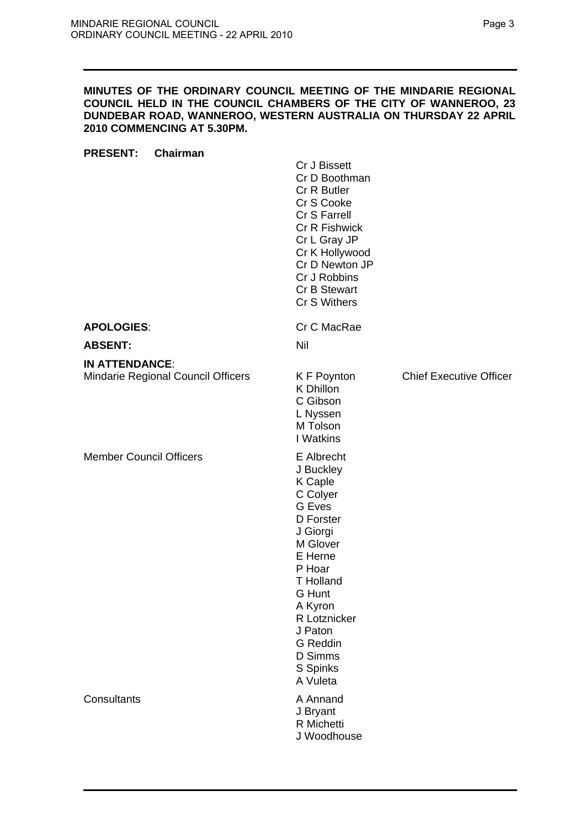## **MINUTES OF THE ORDINARY COUNCIL MEETING OF THE MINDARIE REGIONAL COUNCIL HELD IN THE COUNCIL CHAMBERS OF THE CITY OF WANNEROO, 23 DUNDEBAR ROAD, WANNEROO, WESTERN AUSTRALIA ON THURSDAY 22 APRIL 2010 COMMENCING AT 5.30PM.**

| Chairman<br><b>PRESENT:</b>        |                                                                                                                                                                                                                                                     |                                |
|------------------------------------|-----------------------------------------------------------------------------------------------------------------------------------------------------------------------------------------------------------------------------------------------------|--------------------------------|
|                                    | Cr J Bissett<br>Cr D Boothman<br>Cr R Butler<br>Cr S Cooke<br>Cr S Farrell<br><b>Cr R Fishwick</b><br>Cr L Gray JP<br>Cr K Hollywood<br>Cr D Newton JP<br>Cr J Robbins<br>Cr B Stewart<br>Cr S Withers                                              |                                |
| <b>APOLOGIES:</b>                  | Cr C MacRae                                                                                                                                                                                                                                         |                                |
| <b>ABSENT:</b>                     | Nil                                                                                                                                                                                                                                                 |                                |
| <b>IN ATTENDANCE:</b>              |                                                                                                                                                                                                                                                     |                                |
| Mindarie Regional Council Officers | K F Poynton<br>K Dhillon<br>C Gibson<br>L Nyssen<br>M Tolson<br>I Watkins                                                                                                                                                                           | <b>Chief Executive Officer</b> |
| <b>Member Council Officers</b>     | E Albrecht<br>J Buckley<br><b>K</b> Caple<br>C Colyer<br><b>G</b> Eves<br>D Forster<br>J Giorgi<br>M Glover<br>E Herne<br>P Hoar<br><b>T</b> Holland<br>G Hunt<br>A Kyron<br>R Lotznicker<br>J Paton<br>G Reddin<br>D Simms<br>S Spinks<br>A Vuleta |                                |
| Consultants                        | A Annand<br>J Bryant<br>R Michetti<br>J Woodhouse                                                                                                                                                                                                   |                                |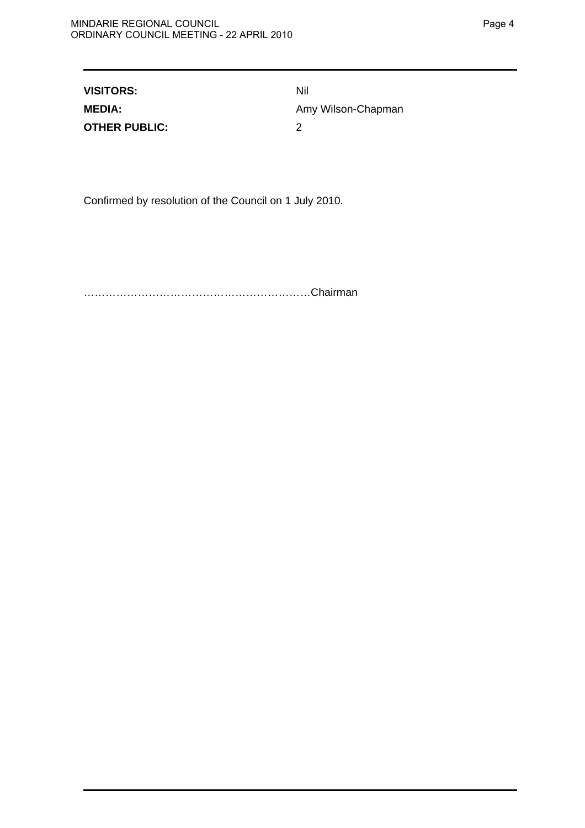| <b>VISITORS:</b>     | Nil                |
|----------------------|--------------------|
| <b>MEDIA:</b>        | Amy Wilson-Chapman |
| <b>OTHER PUBLIC:</b> |                    |

Confirmed by resolution of the Council on 1 July 2010.

………………………………………………………Chairman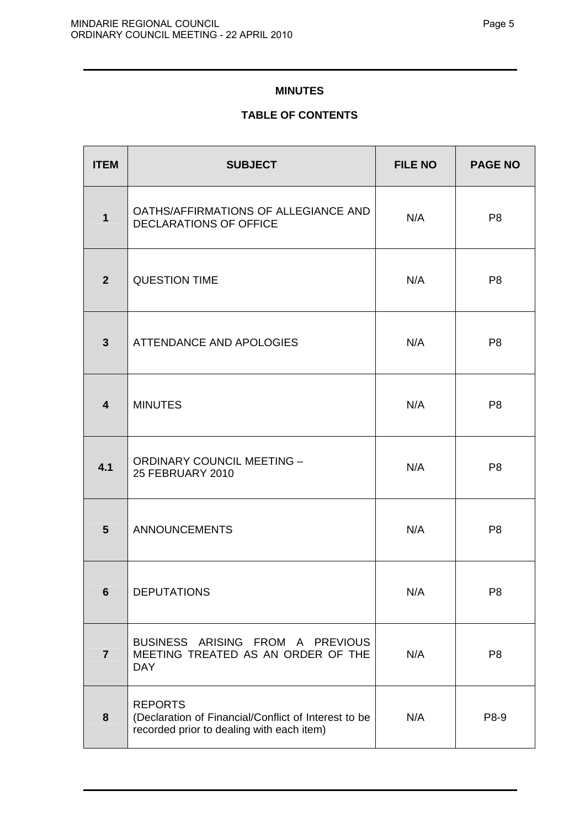# **MINUTES**

# **TABLE OF CONTENTS**

| <b>ITEM</b>             | <b>SUBJECT</b>                                                                                                      | <b>FILE NO</b> | <b>PAGE NO</b> |
|-------------------------|---------------------------------------------------------------------------------------------------------------------|----------------|----------------|
| 1                       | OATHS/AFFIRMATIONS OF ALLEGIANCE AND<br><b>DECLARATIONS OF OFFICE</b>                                               | N/A            | P <sub>8</sub> |
| $\overline{2}$          | <b>QUESTION TIME</b>                                                                                                | N/A            | P <sub>8</sub> |
| $\overline{\mathbf{3}}$ | ATTENDANCE AND APOLOGIES                                                                                            | N/A            | P <sub>8</sub> |
| $\overline{\mathbf{4}}$ | <b>MINUTES</b>                                                                                                      | N/A            | P <sub>8</sub> |
| 4.1                     | <b>ORDINARY COUNCIL MEETING -</b><br>25 FEBRUARY 2010                                                               | N/A            | P <sub>8</sub> |
| 5                       | <b>ANNOUNCEMENTS</b>                                                                                                | N/A            | P <sub>8</sub> |
| 6                       | DEPUTATIONS                                                                                                         | N/A            | P <sub>8</sub> |
| $\overline{7}$          | BUSINESS ARISING FROM A PREVIOUS<br>MEETING TREATED AS AN ORDER OF THE<br><b>DAY</b>                                | N/A            | P <sub>8</sub> |
| 8                       | <b>REPORTS</b><br>(Declaration of Financial/Conflict of Interest to be<br>recorded prior to dealing with each item) | N/A            | P8-9           |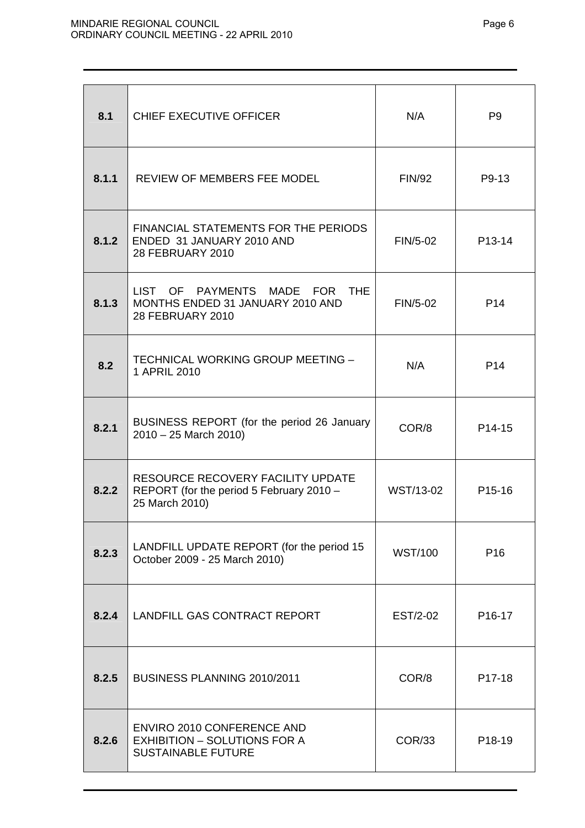| 8.1   | CHIEF EXECUTIVE OFFICER                                                                         | N/A            | P <sub>9</sub>      |
|-------|-------------------------------------------------------------------------------------------------|----------------|---------------------|
| 8.1.1 | REVIEW OF MEMBERS FEE MODEL                                                                     | <b>FIN/92</b>  | P9-13               |
| 8.1.2 | FINANCIAL STATEMENTS FOR THE PERIODS<br>ENDED 31 JANUARY 2010 AND<br><b>28 FEBRUARY 2010</b>    | FIN/5-02       | P13-14              |
| 8.1.3 | LIST OF PAYMENTS MADE FOR THE<br>MONTHS ENDED 31 JANUARY 2010 AND<br>28 FEBRUARY 2010           | FIN/5-02       | P <sub>14</sub>     |
| 8.2   | TECHNICAL WORKING GROUP MEETING -<br>1 APRIL 2010                                               | N/A            | P <sub>14</sub>     |
| 8.2.1 | BUSINESS REPORT (for the period 26 January<br>2010 - 25 March 2010)                             | COR/8          | P <sub>14</sub> -15 |
| 8.2.2 | RESOURCE RECOVERY FACILITY UPDATE<br>REPORT (for the period 5 February 2010 -<br>25 March 2010) | WST/13-02      | P <sub>15</sub> -16 |
| 8.2.3 | LANDFILL UPDATE REPORT (for the period 15<br>October 2009 - 25 March 2010)                      | <b>WST/100</b> | P <sub>16</sub>     |
| 8.2.4 | LANDFILL GAS CONTRACT REPORT                                                                    | EST/2-02       | P <sub>16</sub> -17 |
| 8.2.5 | <b>BUSINESS PLANNING 2010/2011</b>                                                              | COR/8          | P17-18              |
| 8.2.6 | ENVIRO 2010 CONFERENCE AND<br><b>EXHIBITION - SOLUTIONS FOR A</b><br><b>SUSTAINABLE FUTURE</b>  | COR/33         | P <sub>18</sub> -19 |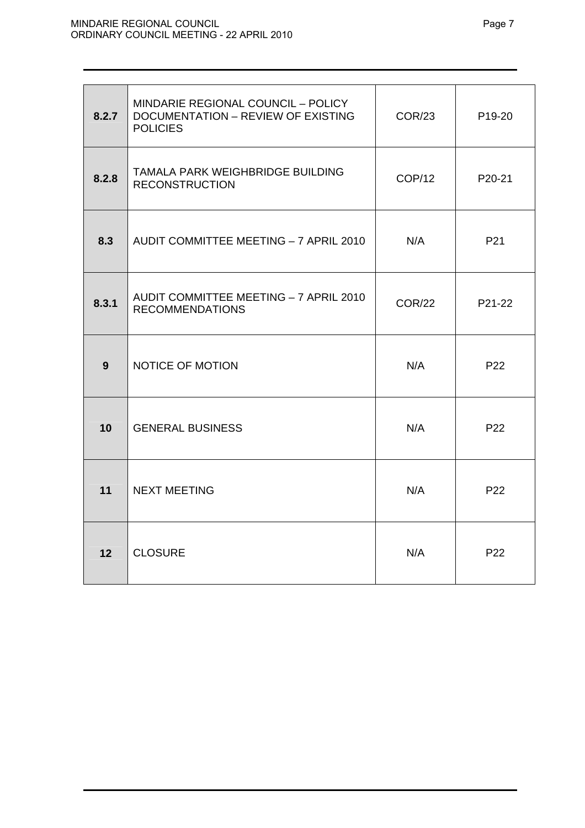| 8.2.7 | MINDARIE REGIONAL COUNCIL - POLICY<br><b>DOCUMENTATION - REVIEW OF EXISTING</b><br><b>POLICIES</b> | <b>COR/23</b> | P <sub>19</sub> -20 |
|-------|----------------------------------------------------------------------------------------------------|---------------|---------------------|
| 8.2.8 | TAMALA PARK WEIGHBRIDGE BUILDING<br><b>RECONSTRUCTION</b>                                          | COP/12        | P20-21              |
| 8.3   | AUDIT COMMITTEE MEETING - 7 APRIL 2010                                                             | N/A           | P <sub>21</sub>     |
| 8.3.1 | AUDIT COMMITTEE MEETING - 7 APRIL 2010<br><b>RECOMMENDATIONS</b>                                   | <b>COR/22</b> | P21-22              |
| 9     | NOTICE OF MOTION                                                                                   | N/A           | P <sub>22</sub>     |
| 10    | <b>GENERAL BUSINESS</b>                                                                            | N/A           | P <sub>22</sub>     |
| 11    | <b>NEXT MEETING</b>                                                                                | N/A           | P <sub>22</sub>     |
| 12    | <b>CLOSURE</b>                                                                                     | N/A           | P22                 |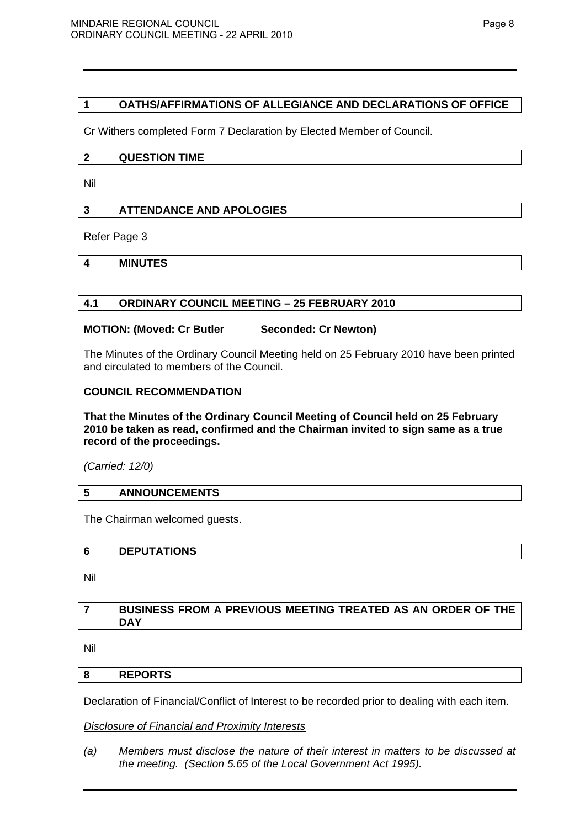# **1 OATHS/AFFIRMATIONS OF ALLEGIANCE AND DECLARATIONS OF OFFICE**

Cr Withers completed Form 7 Declaration by Elected Member of Council.

#### **2 QUESTION TIME**

Nil

## **3 ATTENDANCE AND APOLOGIES**

Refer Page 3

**4 MINUTES** 

## **4.1 ORDINARY COUNCIL MEETING – 25 FEBRUARY 2010**

## **MOTION: (Moved: Cr Butler Seconded: Cr Newton)**

The Minutes of the Ordinary Council Meeting held on 25 February 2010 have been printed and circulated to members of the Council.

# **COUNCIL RECOMMENDATION**

## **That the Minutes of the Ordinary Council Meeting of Council held on 25 February 2010 be taken as read, confirmed and the Chairman invited to sign same as a true record of the proceedings.**

*(Carried: 12/0)* 

## **5 ANNOUNCEMENTS**

The Chairman welcomed guests.

#### **6 DEPUTATIONS**

Nil

# **7 BUSINESS FROM A PREVIOUS MEETING TREATED AS AN ORDER OF THE DAY**

Nil

## **8 REPORTS**

Declaration of Financial/Conflict of Interest to be recorded prior to dealing with each item.

## *Disclosure of Financial and Proximity Interests*

*(a) Members must disclose the nature of their interest in matters to be discussed at the meeting. (Section 5.65 of the Local Government Act 1995).*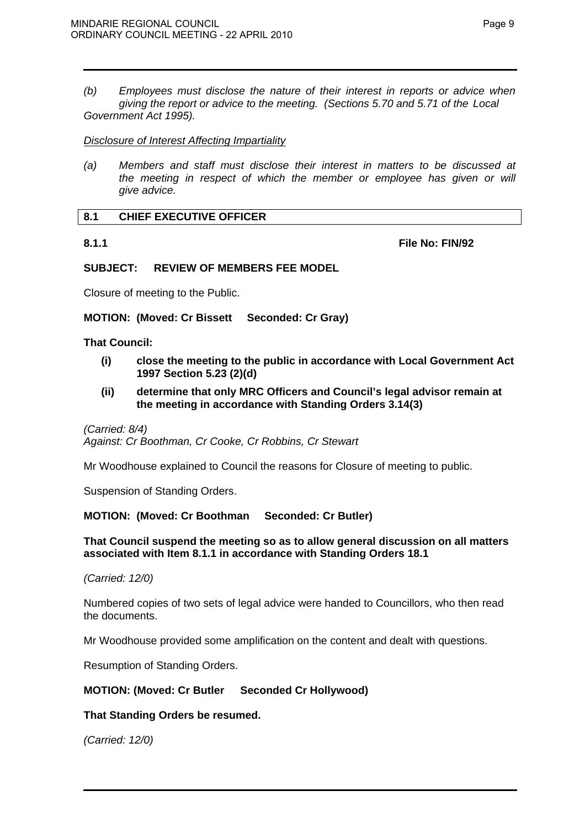*(b) Employees must disclose the nature of their interest in reports or advice when giving the report or advice to the meeting. (Sections 5.70 and 5.71 of the Local Government Act 1995).* 

## *Disclosure of Interest Affecting Impartiality*

*(a) Members and staff must disclose their interest in matters to be discussed at the meeting in respect of which the member or employee has given or will give advice.* 

# **8.1 CHIEF EXECUTIVE OFFICER**

**8.1.1 File No: FIN/92** 

# **SUBJECT: REVIEW OF MEMBERS FEE MODEL**

Closure of meeting to the Public.

**MOTION: (Moved: Cr Bissett Seconded: Cr Gray)** 

## **That Council:**

- **(i) close the meeting to the public in accordance with Local Government Act 1997 Section 5.23 (2)(d)**
- **(ii) determine that only MRC Officers and Council's legal advisor remain at the meeting in accordance with Standing Orders 3.14(3)**

*(Carried: 8/4) Against: Cr Boothman, Cr Cooke, Cr Robbins, Cr Stewart* 

Mr Woodhouse explained to Council the reasons for Closure of meeting to public.

Suspension of Standing Orders.

**MOTION: (Moved: Cr Boothman Seconded: Cr Butler)** 

## **That Council suspend the meeting so as to allow general discussion on all matters associated with Item 8.1.1 in accordance with Standing Orders 18.1**

*(Carried: 12/0)* 

Numbered copies of two sets of legal advice were handed to Councillors, who then read the documents.

Mr Woodhouse provided some amplification on the content and dealt with questions.

Resumption of Standing Orders.

# **MOTION: (Moved: Cr Butler Seconded Cr Hollywood)**

# **That Standing Orders be resumed.**

*(Carried: 12/0)*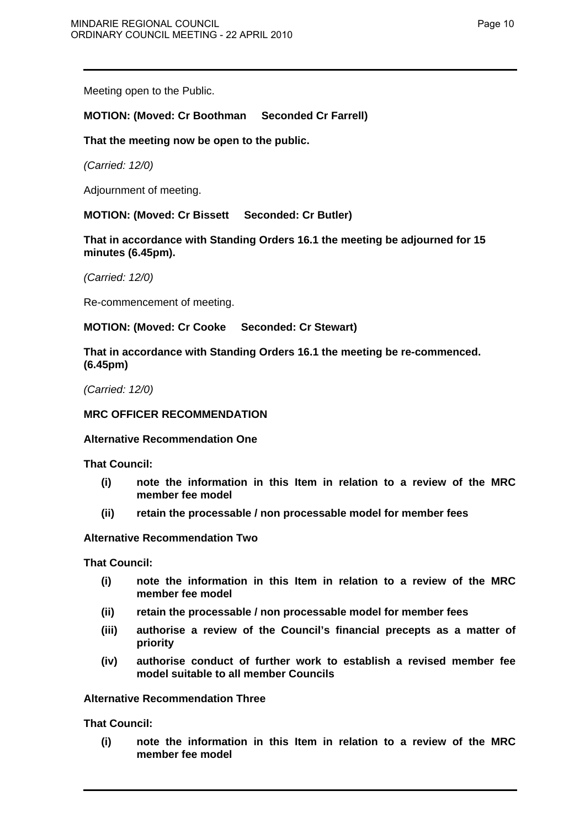Meeting open to the Public.

# **MOTION: (Moved: Cr Boothman Seconded Cr Farrell)**

## **That the meeting now be open to the public.**

*(Carried: 12/0)* 

Adjournment of meeting.

**MOTION: (Moved: Cr Bissett Seconded: Cr Butler)**

**That in accordance with Standing Orders 16.1 the meeting be adjourned for 15 minutes (6.45pm).** 

*(Carried: 12/0)* 

Re-commencement of meeting.

**MOTION: (Moved: Cr Cooke Seconded: Cr Stewart)** 

**That in accordance with Standing Orders 16.1 the meeting be re-commenced. (6.45pm)** 

*(Carried: 12/0)* 

# **MRC OFFICER RECOMMENDATION**

## **Alternative Recommendation One**

**That Council:** 

- **(i) note the information in this Item in relation to a review of the MRC member fee model**
- **(ii) retain the processable / non processable model for member fees**

## **Alternative Recommendation Two**

**That Council:** 

- **(i) note the information in this Item in relation to a review of the MRC member fee model**
- **(ii) retain the processable / non processable model for member fees**
- **(iii) authorise a review of the Council's financial precepts as a matter of priority**
- **(iv) authorise conduct of further work to establish a revised member fee model suitable to all member Councils**

## **Alternative Recommendation Three**

**That Council:** 

**(i) note the information in this Item in relation to a review of the MRC member fee model**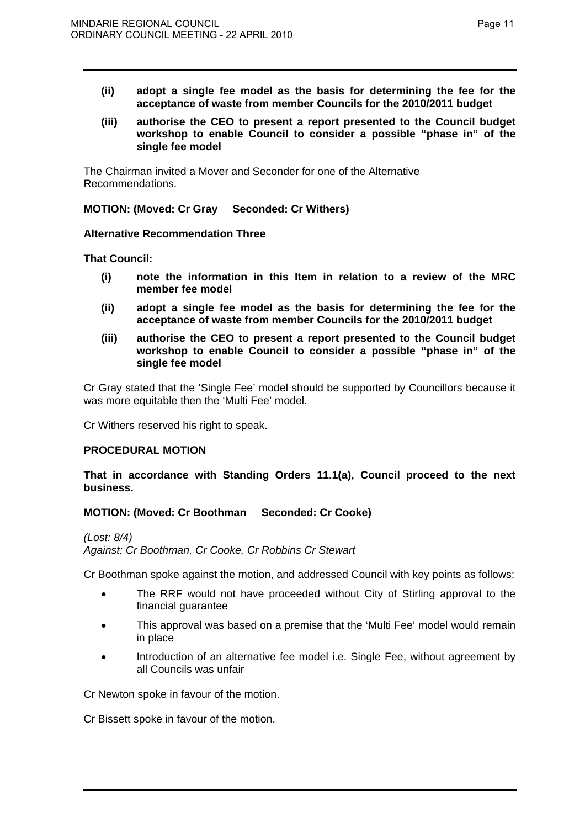- **(ii) adopt a single fee model as the basis for determining the fee for the acceptance of waste from member Councils for the 2010/2011 budget**
- **(iii) authorise the CEO to present a report presented to the Council budget workshop to enable Council to consider a possible "phase in" of the single fee model**

The Chairman invited a Mover and Seconder for one of the Alternative Recommendations.

**MOTION: (Moved: Cr Gray Seconded: Cr Withers)** 

## **Alternative Recommendation Three**

**That Council:** 

- **(i) note the information in this Item in relation to a review of the MRC member fee model**
- **(ii) adopt a single fee model as the basis for determining the fee for the acceptance of waste from member Councils for the 2010/2011 budget**
- **(iii) authorise the CEO to present a report presented to the Council budget workshop to enable Council to consider a possible "phase in" of the single fee model**

Cr Gray stated that the 'Single Fee' model should be supported by Councillors because it was more equitable then the 'Multi Fee' model.

Cr Withers reserved his right to speak.

## **PROCEDURAL MOTION**

**That in accordance with Standing Orders 11.1(a), Council proceed to the next business.** 

# **MOTION: (Moved: Cr Boothman Seconded: Cr Cooke)**

*(Lost: 8/4)* 

*Against: Cr Boothman, Cr Cooke, Cr Robbins Cr Stewart* 

Cr Boothman spoke against the motion, and addressed Council with key points as follows:

- The RRF would not have proceeded without City of Stirling approval to the financial guarantee
- This approval was based on a premise that the 'Multi Fee' model would remain in place
- Introduction of an alternative fee model i.e. Single Fee, without agreement by all Councils was unfair

Cr Newton spoke in favour of the motion.

Cr Bissett spoke in favour of the motion.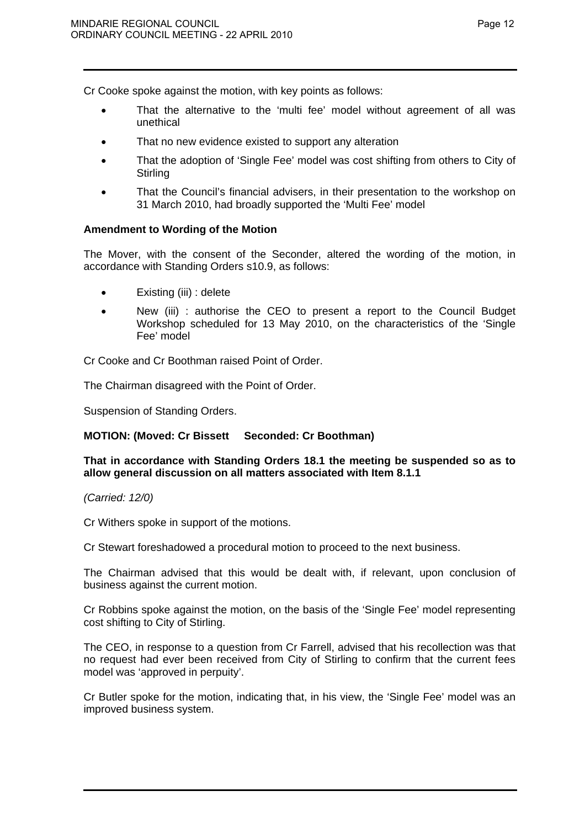Cr Cooke spoke against the motion, with key points as follows:

- That the alternative to the 'multi fee' model without agreement of all was unethical
- That no new evidence existed to support any alteration
- That the adoption of 'Single Fee' model was cost shifting from others to City of **Stirling**
- That the Council's financial advisers, in their presentation to the workshop on 31 March 2010, had broadly supported the 'Multi Fee' model

## **Amendment to Wording of the Motion**

The Mover, with the consent of the Seconder, altered the wording of the motion, in accordance with Standing Orders s10.9, as follows:

- Existing (iii) : delete
- New (iii) : authorise the CEO to present a report to the Council Budget Workshop scheduled for 13 May 2010, on the characteristics of the 'Single Fee' model

Cr Cooke and Cr Boothman raised Point of Order.

The Chairman disagreed with the Point of Order.

Suspension of Standing Orders.

# **MOTION: (Moved: Cr Bissett Seconded: Cr Boothman)**

## **That in accordance with Standing Orders 18.1 the meeting be suspended so as to allow general discussion on all matters associated with Item 8.1.1**

## *(Carried: 12/0)*

Cr Withers spoke in support of the motions.

Cr Stewart foreshadowed a procedural motion to proceed to the next business.

The Chairman advised that this would be dealt with, if relevant, upon conclusion of business against the current motion.

Cr Robbins spoke against the motion, on the basis of the 'Single Fee' model representing cost shifting to City of Stirling.

The CEO, in response to a question from Cr Farrell, advised that his recollection was that no request had ever been received from City of Stirling to confirm that the current fees model was 'approved in perpuity'.

Cr Butler spoke for the motion, indicating that, in his view, the 'Single Fee' model was an improved business system.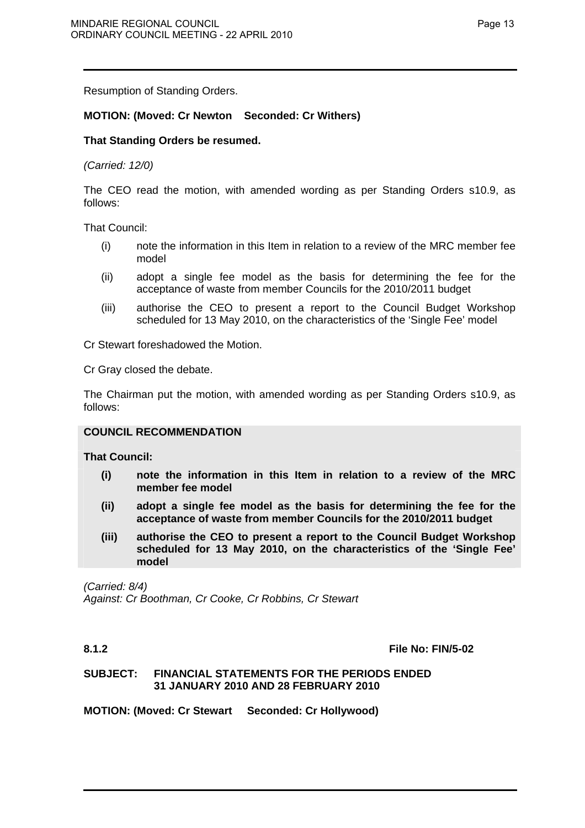Resumption of Standing Orders.

# **MOTION: (Moved: Cr Newton Seconded: Cr Withers)**

# **That Standing Orders be resumed.**

## *(Carried: 12/0)*

The CEO read the motion, with amended wording as per Standing Orders s10.9, as follows:

That Council:

- (i) note the information in this Item in relation to a review of the MRC member fee model
- (ii) adopt a single fee model as the basis for determining the fee for the acceptance of waste from member Councils for the 2010/2011 budget
- (iii) authorise the CEO to present a report to the Council Budget Workshop scheduled for 13 May 2010, on the characteristics of the 'Single Fee' model

Cr Stewart foreshadowed the Motion.

Cr Gray closed the debate.

The Chairman put the motion, with amended wording as per Standing Orders s10.9, as follows:

## **COUNCIL RECOMMENDATION**

**That Council:** 

- **(i) note the information in this Item in relation to a review of the MRC member fee model**
- **(ii) adopt a single fee model as the basis for determining the fee for the acceptance of waste from member Councils for the 2010/2011 budget**
- **(iii) authorise the CEO to present a report to the Council Budget Workshop scheduled for 13 May 2010, on the characteristics of the 'Single Fee' model**

*(Carried: 8/4) Against: Cr Boothman, Cr Cooke, Cr Robbins, Cr Stewart* 

**8.1.2 File No: FIN/5-02** 

## **SUBJECT: FINANCIAL STATEMENTS FOR THE PERIODS ENDED 31 JANUARY 2010 AND 28 FEBRUARY 2010**

**MOTION: (Moved: Cr Stewart Seconded: Cr Hollywood)**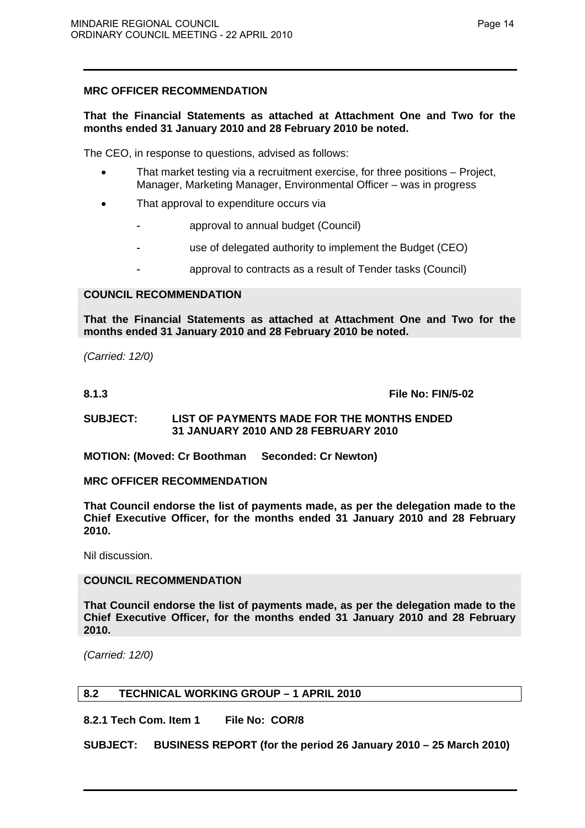# **MRC OFFICER RECOMMENDATION**

# **That the Financial Statements as attached at Attachment One and Two for the months ended 31 January 2010 and 28 February 2010 be noted.**

The CEO, in response to questions, advised as follows:

- That market testing via a recruitment exercise, for three positions Project, Manager, Marketing Manager, Environmental Officer – was in progress
- That approval to expenditure occurs via
	- approval to annual budget (Council)
	- use of delegated authority to implement the Budget (CEO)
	- approval to contracts as a result of Tender tasks (Council)

# **COUNCIL RECOMMENDATION**

**That the Financial Statements as attached at Attachment One and Two for the months ended 31 January 2010 and 28 February 2010 be noted.** 

*(Carried: 12/0)* 

**8.1.3 File No: FIN/5-02** 

## **SUBJECT: LIST OF PAYMENTS MADE FOR THE MONTHS ENDED 31 JANUARY 2010 AND 28 FEBRUARY 2010**

**MOTION: (Moved: Cr Boothman Seconded: Cr Newton)** 

## **MRC OFFICER RECOMMENDATION**

**That Council endorse the list of payments made, as per the delegation made to the Chief Executive Officer, for the months ended 31 January 2010 and 28 February 2010.** 

Nil discussion.

## **COUNCIL RECOMMENDATION**

**That Council endorse the list of payments made, as per the delegation made to the Chief Executive Officer, for the months ended 31 January 2010 and 28 February 2010.** 

*(Carried: 12/0)* 

# **8.2 TECHNICAL WORKING GROUP – 1 APRIL 2010**

**8.2.1 Tech Com. Item 1 File No: COR/8** 

**SUBJECT: BUSINESS REPORT (for the period 26 January 2010 – 25 March 2010)**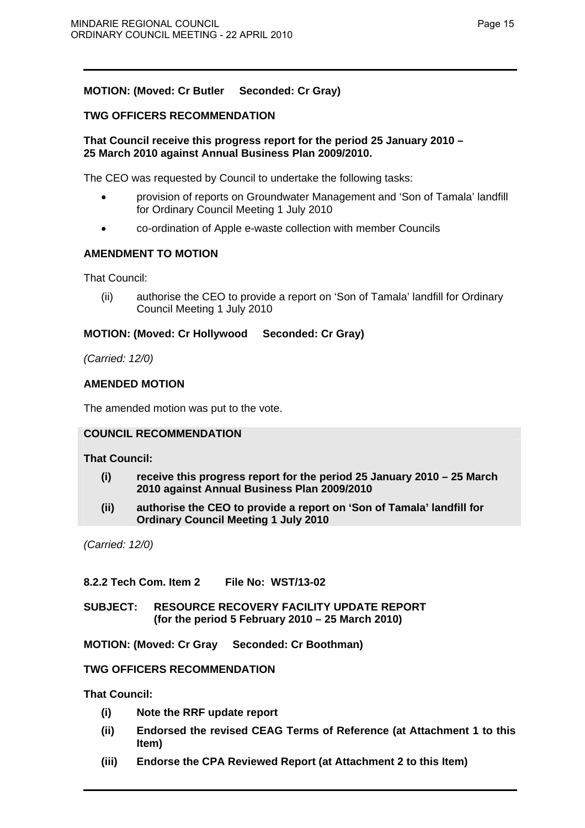# **MOTION: (Moved: Cr Butler Seconded: Cr Gray)**

# **TWG OFFICERS RECOMMENDATION**

# **That Council receive this progress report for the period 25 January 2010 – 25 March 2010 against Annual Business Plan 2009/2010.**

The CEO was requested by Council to undertake the following tasks:

- provision of reports on Groundwater Management and 'Son of Tamala' landfill for Ordinary Council Meeting 1 July 2010
- co-ordination of Apple e-waste collection with member Councils

# **AMENDMENT TO MOTION**

That Council:

(ii) authorise the CEO to provide a report on 'Son of Tamala' landfill for Ordinary Council Meeting 1 July 2010

# **MOTION: (Moved: Cr Hollywood Seconded: Cr Gray)**

*(Carried: 12/0)* 

# **AMENDED MOTION**

The amended motion was put to the vote.

# **COUNCIL RECOMMENDATION**

# **That Council:**

- **(i) receive this progress report for the period 25 January 2010 25 March 2010 against Annual Business Plan 2009/2010**
- **(ii) authorise the CEO to provide a report on 'Son of Tamala' landfill for Ordinary Council Meeting 1 July 2010**

*(Carried: 12/0)* 

# **8.2.2 Tech Com. Item 2 File No: WST/13-02**

**SUBJECT: RESOURCE RECOVERY FACILITY UPDATE REPORT (for the period 5 February 2010 – 25 March 2010)** 

**MOTION: (Moved: Cr Gray Seconded: Cr Boothman)** 

# **TWG OFFICERS RECOMMENDATION**

**That Council:** 

- **(i) Note the RRF update report**
- **(ii) Endorsed the revised CEAG Terms of Reference (at Attachment 1 to this Item)**
- **(iii) Endorse the CPA Reviewed Report (at Attachment 2 to this Item)**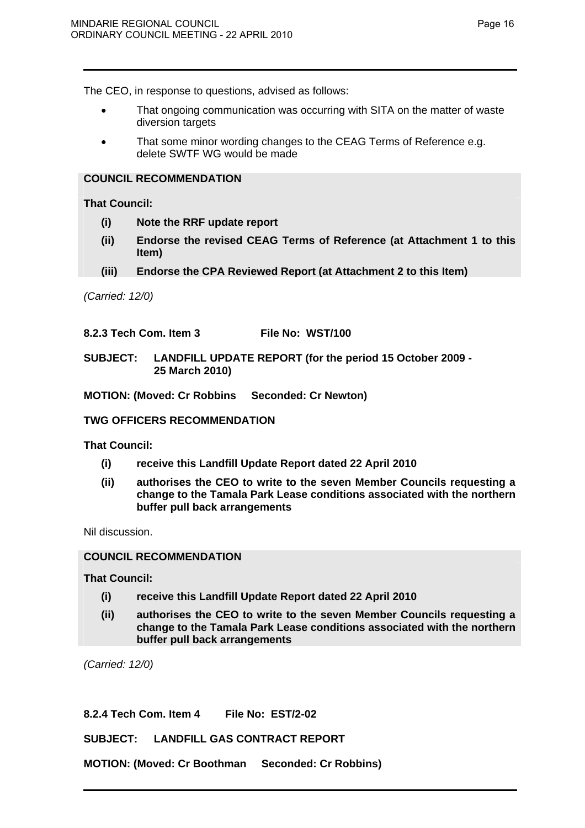Page 16

The CEO, in response to questions, advised as follows:

- That ongoing communication was occurring with SITA on the matter of waste diversion targets
- That some minor wording changes to the CEAG Terms of Reference e.g. delete SWTF WG would be made

# **COUNCIL RECOMMENDATION**

**That Council:** 

- **(i) Note the RRF update report**
- **(ii) Endorse the revised CEAG Terms of Reference (at Attachment 1 to this Item)**
- **(iii) Endorse the CPA Reviewed Report (at Attachment 2 to this Item)**

*(Carried: 12/0)* 

## **8.2.3 Tech Com. Item 3 File No: WST/100**

# **SUBJECT: LANDFILL UPDATE REPORT (for the period 15 October 2009 - 25 March 2010)**

## **MOTION: (Moved: Cr Robbins Seconded: Cr Newton)**

## **TWG OFFICERS RECOMMENDATION**

**That Council:** 

- **(i) receive this Landfill Update Report dated 22 April 2010**
- **(ii) authorises the CEO to write to the seven Member Councils requesting a change to the Tamala Park Lease conditions associated with the northern buffer pull back arrangements**

Nil discussion.

# **COUNCIL RECOMMENDATION**

**That Council:** 

- **(i) receive this Landfill Update Report dated 22 April 2010**
- **(ii) authorises the CEO to write to the seven Member Councils requesting a change to the Tamala Park Lease conditions associated with the northern buffer pull back arrangements**

*(Carried: 12/0)* 

**8.2.4 Tech Com. Item 4 File No: EST/2-02** 

**SUBJECT: LANDFILL GAS CONTRACT REPORT** 

**MOTION: (Moved: Cr Boothman Seconded: Cr Robbins)**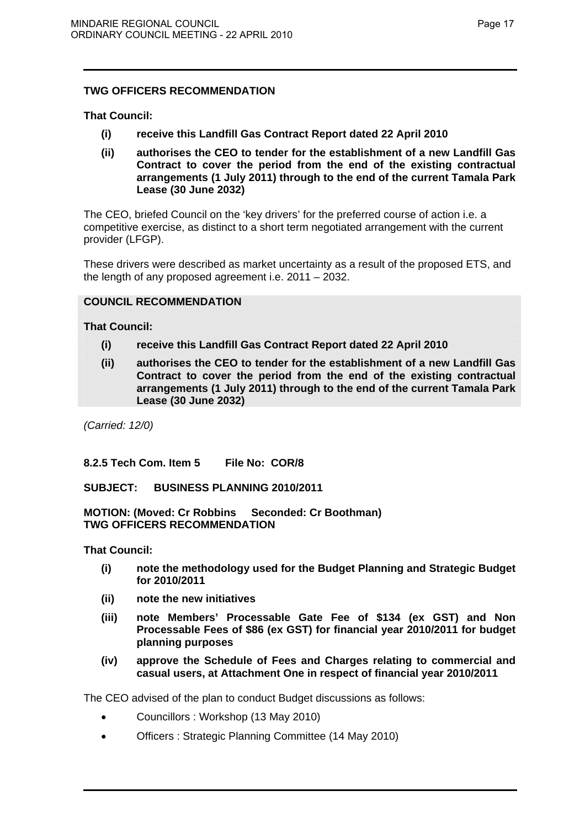# **That Council:**

- **(i) receive this Landfill Gas Contract Report dated 22 April 2010**
- **(ii) authorises the CEO to tender for the establishment of a new Landfill Gas Contract to cover the period from the end of the existing contractual arrangements (1 July 2011) through to the end of the current Tamala Park Lease (30 June 2032)**

The CEO, briefed Council on the 'key drivers' for the preferred course of action i.e. a competitive exercise, as distinct to a short term negotiated arrangement with the current provider (LFGP).

These drivers were described as market uncertainty as a result of the proposed ETS, and the length of any proposed agreement i.e. 2011 – 2032.

# **COUNCIL RECOMMENDATION**

**That Council:** 

- **(i) receive this Landfill Gas Contract Report dated 22 April 2010**
- **(ii) authorises the CEO to tender for the establishment of a new Landfill Gas Contract to cover the period from the end of the existing contractual arrangements (1 July 2011) through to the end of the current Tamala Park Lease (30 June 2032)**

*(Carried: 12/0)* 

**8.2.5 Tech Com. Item 5 File No: COR/8** 

**SUBJECT: BUSINESS PLANNING 2010/2011** 

**MOTION: (Moved: Cr Robbins Seconded: Cr Boothman) TWG OFFICERS RECOMMENDATION** 

**That Council:** 

- **(i) note the methodology used for the Budget Planning and Strategic Budget for 2010/2011**
- **(ii) note the new initiatives**
- **(iii) note Members' Processable Gate Fee of \$134 (ex GST) and Non Processable Fees of \$86 (ex GST) for financial year 2010/2011 for budget planning purposes**
- **(iv) approve the Schedule of Fees and Charges relating to commercial and casual users, at Attachment One in respect of financial year 2010/2011**

The CEO advised of the plan to conduct Budget discussions as follows:

- Councillors : Workshop (13 May 2010)
- Officers : Strategic Planning Committee (14 May 2010)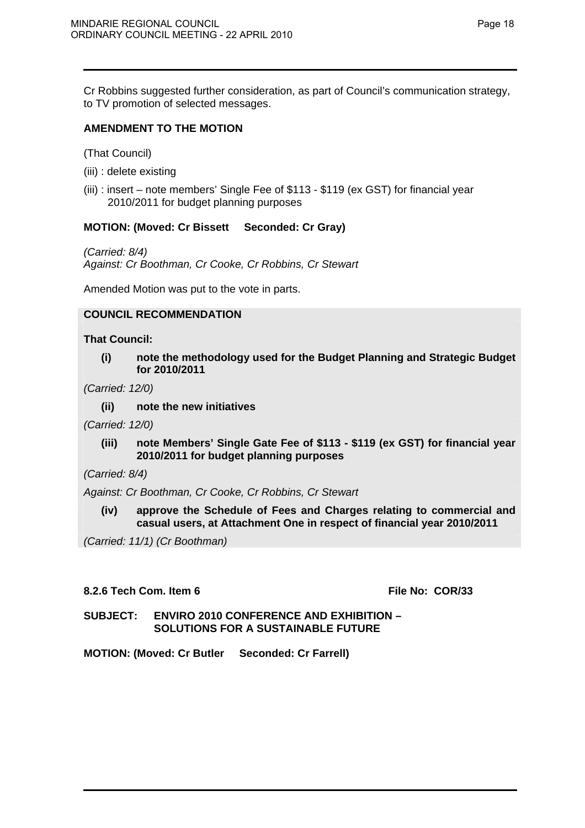Cr Robbins suggested further consideration, as part of Council's communication strategy, to TV promotion of selected messages.

# **AMENDMENT TO THE MOTION**

(That Council)

- (iii) : delete existing
- (iii) : insert note members' Single Fee of \$113 \$119 (ex GST) for financial year 2010/2011 for budget planning purposes

# **MOTION: (Moved: Cr Bissett Seconded: Cr Gray)**

*(Carried: 8/4) Against: Cr Boothman, Cr Cooke, Cr Robbins, Cr Stewart* 

Amended Motion was put to the vote in parts.

## **COUNCIL RECOMMENDATION**

**That Council:** 

**(i) note the methodology used for the Budget Planning and Strategic Budget for 2010/2011** 

*(Carried: 12/0)* 

**(ii) note the new initiatives** 

*(Carried: 12/0)* 

**(iii) note Members' Single Gate Fee of \$113 - \$119 (ex GST) for financial year 2010/2011 for budget planning purposes** 

*(Carried: 8/4)* 

*Against: Cr Boothman, Cr Cooke, Cr Robbins, Cr Stewart* 

**(iv) approve the Schedule of Fees and Charges relating to commercial and casual users, at Attachment One in respect of financial year 2010/2011**

*(Carried: 11/1) (Cr Boothman)* 

## **8.2.6 Tech Com. Item 6 File No: COR/33**

# **SUBJECT: ENVIRO 2010 CONFERENCE AND EXHIBITION – SOLUTIONS FOR A SUSTAINABLE FUTURE**

**MOTION: (Moved: Cr Butler Seconded: Cr Farrell)**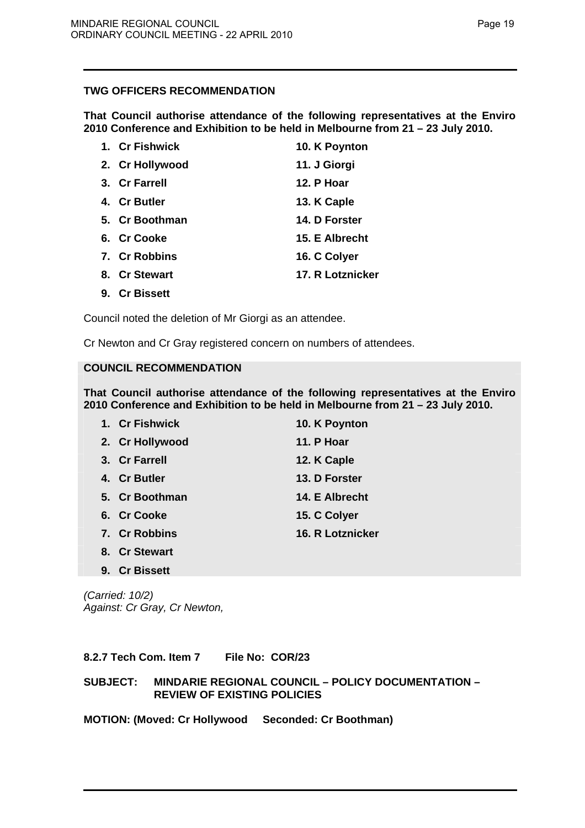**That Council authorise attendance of the following representatives at the Enviro 2010 Conference and Exhibition to be held in Melbourne from 21 – 23 July 2010.** 

| 1. Cr Fishwick  | 10. K Poynton    |
|-----------------|------------------|
| 2. Cr Hollywood | 11. J Giorgi     |
| 3. Cr Farrell   | 12. P Hoar       |
| 4. Cr Butler    | 13. K Caple      |
| 5. Cr Boothman  | 14. D Forster    |
| 6. Cr Cooke     | 15. E Albrecht   |
| 7. Cr Robbins   | 16. C Colyer     |
| 8. Cr Stewart   | 17. R Lotznicker |

**9. Cr Bissett** 

Council noted the deletion of Mr Giorgi as an attendee.

Cr Newton and Cr Gray registered concern on numbers of attendees.

# **COUNCIL RECOMMENDATION**

**That Council authorise attendance of the following representatives at the Enviro 2010 Conference and Exhibition to be held in Melbourne from 21 – 23 July 2010.** 

| 1. Cr Fishwick  | 10. K Poynton    |
|-----------------|------------------|
| 2. Cr Hollywood | 11. P Hoar       |
| 3. Cr Farrell   | 12. K Caple      |
| 4. Cr Butler    | 13. D Forster    |
| 5. Cr Boothman  | 14. E Albrecht   |
| 6. Cr Cooke     | 15. C Colyer     |
| 7. Cr Robbins   | 16. R Lotznicker |
| 8. Cr Stewart   |                  |

*(Carried: 10/2) Against: Cr Gray, Cr Newton,* 

**9. Cr Bissett** 

**8.2.7 Tech Com. Item 7 File No: COR/23** 

**SUBJECT: MINDARIE REGIONAL COUNCIL – POLICY DOCUMENTATION – REVIEW OF EXISTING POLICIES** 

## **MOTION: (Moved: Cr Hollywood Seconded: Cr Boothman)**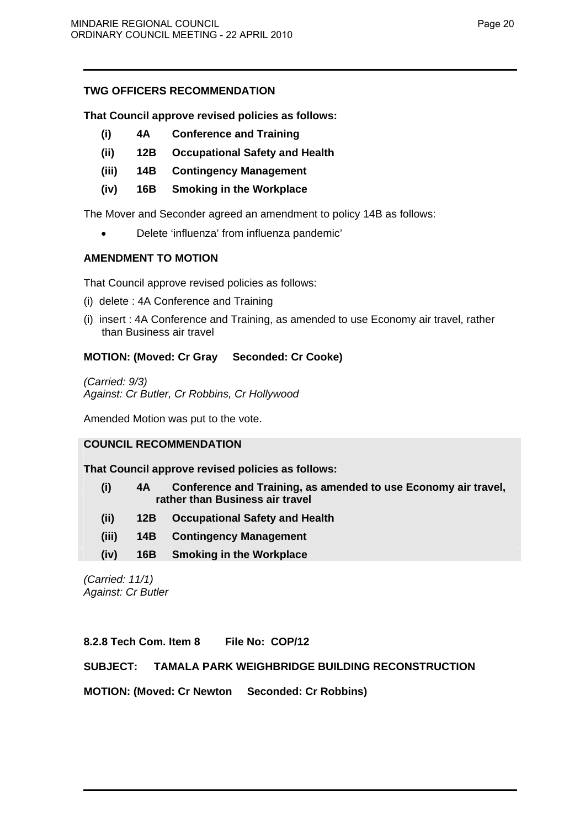# **That Council approve revised policies as follows:**

- **(i) 4A Conference and Training**
- **(ii) 12B Occupational Safety and Health**
- **(iii) 14B Contingency Management**
- **(iv) 16B Smoking in the Workplace**

The Mover and Seconder agreed an amendment to policy 14B as follows:

• Delete 'influenza' from influenza pandemic'

# **AMENDMENT TO MOTION**

That Council approve revised policies as follows:

- (i) delete : 4A Conference and Training
- (i) insert : 4A Conference and Training, as amended to use Economy air travel, rather than Business air travel

# **MOTION: (Moved: Cr Gray Seconded: Cr Cooke)**

*(Carried: 9/3) Against: Cr Butler, Cr Robbins, Cr Hollywood* 

Amended Motion was put to the vote.

# **COUNCIL RECOMMENDATION**

**That Council approve revised policies as follows:** 

- **(i) 4A Conference and Training, as amended to use Economy air travel, rather than Business air travel**
- **(ii) 12B Occupational Safety and Health**
- **(iii) 14B Contingency Management**
- **(iv) 16B Smoking in the Workplace**

*(Carried: 11/1) Against: Cr Butler* 

**8.2.8 Tech Com. Item 8 File No: COP/12** 

# **SUBJECT: TAMALA PARK WEIGHBRIDGE BUILDING RECONSTRUCTION**

**MOTION: (Moved: Cr Newton Seconded: Cr Robbins)**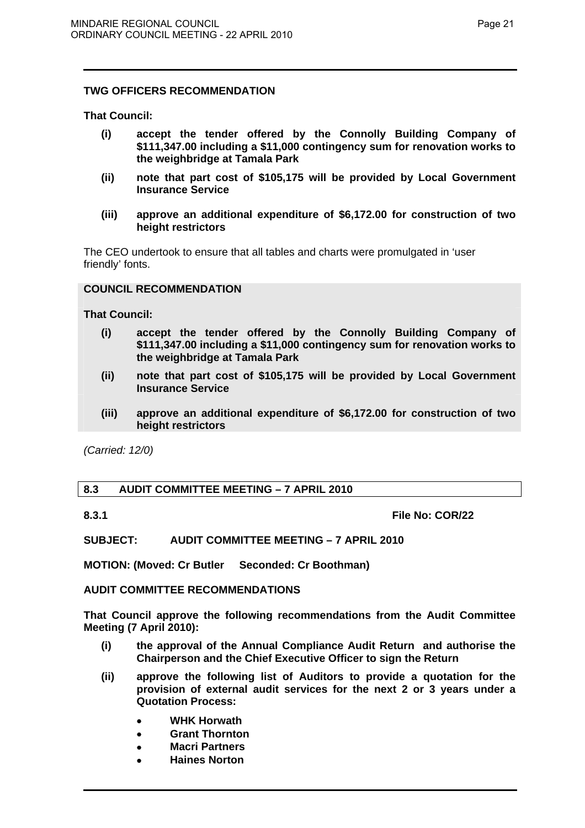**That Council:** 

- **(i) accept the tender offered by the Connolly Building Company of \$111,347.00 including a \$11,000 contingency sum for renovation works to the weighbridge at Tamala Park**
- **(ii) note that part cost of \$105,175 will be provided by Local Government Insurance Service**
- **(iii) approve an additional expenditure of \$6,172.00 for construction of two height restrictors**

The CEO undertook to ensure that all tables and charts were promulgated in 'user friendly' fonts.

# **COUNCIL RECOMMENDATION**

**That Council:** 

- **(i) accept the tender offered by the Connolly Building Company of \$111,347.00 including a \$11,000 contingency sum for renovation works to the weighbridge at Tamala Park**
- **(ii) note that part cost of \$105,175 will be provided by Local Government Insurance Service**
- **(iii) approve an additional expenditure of \$6,172.00 for construction of two height restrictors**

*(Carried: 12/0)* 

# **8.3 AUDIT COMMITTEE MEETING – 7 APRIL 2010**

**8.3.1 File No: COR/22** 

**SUBJECT: AUDIT COMMITTEE MEETING – 7 APRIL 2010** 

**MOTION: (Moved: Cr Butler Seconded: Cr Boothman)** 

## **AUDIT COMMITTEE RECOMMENDATIONS**

**That Council approve the following recommendations from the Audit Committee Meeting (7 April 2010):** 

- **(i) the approval of the Annual Compliance Audit Return and authorise the Chairperson and the Chief Executive Officer to sign the Return**
- **(ii) approve the following list of Auditors to provide a quotation for the provision of external audit services for the next 2 or 3 years under a Quotation Process:** 
	- • **WHK Horwath**
	- • **Grant Thornton**
	- • **Macri Partners**
	- • **Haines Norton**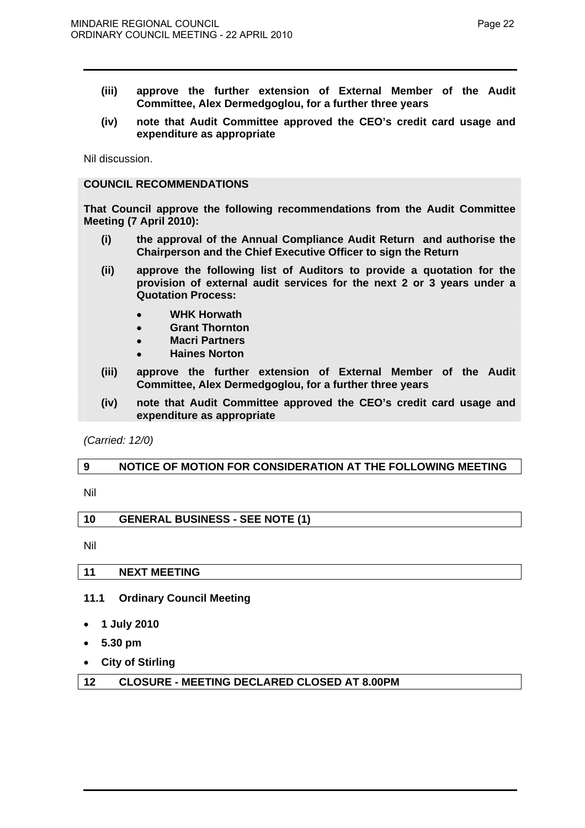- **(iii) approve the further extension of External Member of the Audit Committee, Alex Dermedgoglou, for a further three years**
- **(iv) note that Audit Committee approved the CEO's credit card usage and expenditure as appropriate**

Nil discussion.

## **COUNCIL RECOMMENDATIONS**

**That Council approve the following recommendations from the Audit Committee Meeting (7 April 2010):** 

- **(i) the approval of the Annual Compliance Audit Return and authorise the Chairperson and the Chief Executive Officer to sign the Return**
- **(ii) approve the following list of Auditors to provide a quotation for the provision of external audit services for the next 2 or 3 years under a Quotation Process:** 
	- • **WHK Horwath**
	- • **Grant Thornton**
	- • **Macri Partners**
	- • **Haines Norton**
- **(iii) approve the further extension of External Member of the Audit Committee, Alex Dermedgoglou, for a further three years**
- **(iv) note that Audit Committee approved the CEO's credit card usage and expenditure as appropriate**

*(Carried: 12/0)* 

# **9 NOTICE OF MOTION FOR CONSIDERATION AT THE FOLLOWING MEETING**

Nil

| <b>GENERAL BUSINESS - SEE NOTE (1)</b><br>10 |
|----------------------------------------------|
|----------------------------------------------|

Nil

## **11 NEXT MEETING**

# **11.1 Ordinary Council Meeting**

- **1 July 2010**
- **5.30 pm**
- **City of Stirling**

| <b>CLOSURE - MEETING DECLARED CLOSED AT 8.00PM</b><br>12 |
|----------------------------------------------------------|
|----------------------------------------------------------|